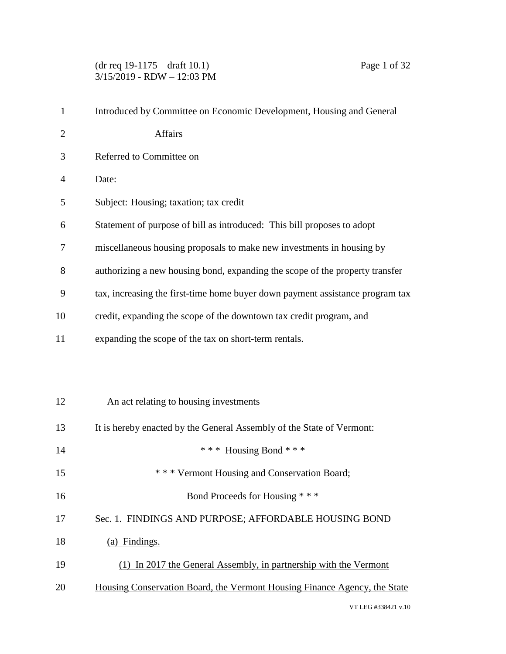(dr req 19-1175 – draft 10.1) Page 1 of 32 3/15/2019 - RDW – 12:03 PM

| $\mathbf{1}$   | Introduced by Committee on Economic Development, Housing and General          |
|----------------|-------------------------------------------------------------------------------|
| $\overline{2}$ | Affairs                                                                       |
| 3              | Referred to Committee on                                                      |
| 4              | Date:                                                                         |
| 5              | Subject: Housing; taxation; tax credit                                        |
| 6              | Statement of purpose of bill as introduced: This bill proposes to adopt       |
| 7              | miscellaneous housing proposals to make new investments in housing by         |
| 8              | authorizing a new housing bond, expanding the scope of the property transfer  |
| 9              | tax, increasing the first-time home buyer down payment assistance program tax |
| 10             | credit, expanding the scope of the downtown tax credit program, and           |
| 11             | expanding the scope of the tax on short-term rentals.                         |
|                |                                                                               |
|                |                                                                               |
| 12             | An act relating to housing investments                                        |
| 13             | It is hereby enacted by the General Assembly of the State of Vermont:         |
| 14             | *** Housing Bond ***                                                          |
| 15             | * * * Vermont Housing and Conservation Board;                                 |
| 16             | Bond Proceeds for Housing ***                                                 |
| 17             | Sec. 1. FINDINGS AND PURPOSE; AFFORDABLE HOUSING BOND                         |
| 18             | (a) Findings.                                                                 |
| 19             | (1) In 2017 the General Assembly, in partnership with the Vermont             |
| 20             | Housing Conservation Board, the Vermont Housing Finance Agency, the State     |
|                |                                                                               |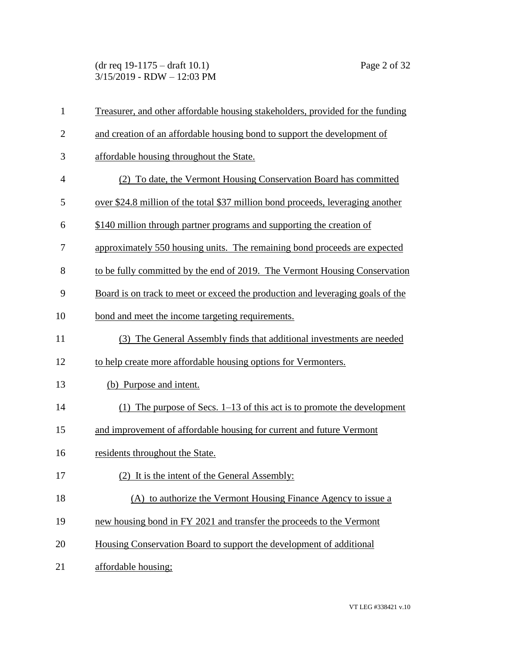(dr req 19-1175 – draft 10.1) Page 2 of 32 3/15/2019 - RDW – 12:03 PM

| $\mathbf{1}$ | Treasurer, and other affordable housing stakeholders, provided for the funding  |
|--------------|---------------------------------------------------------------------------------|
| $\mathbf{2}$ | and creation of an affordable housing bond to support the development of        |
| 3            | affordable housing throughout the State.                                        |
| 4            | (2) To date, the Vermont Housing Conservation Board has committed               |
| 5            | over \$24.8 million of the total \$37 million bond proceeds, leveraging another |
| 6            | \$140 million through partner programs and supporting the creation of           |
| 7            | approximately 550 housing units. The remaining bond proceeds are expected       |
| 8            | to be fully committed by the end of 2019. The Vermont Housing Conservation      |
| 9            | Board is on track to meet or exceed the production and leveraging goals of the  |
| 10           | bond and meet the income targeting requirements.                                |
| 11           | (3) The General Assembly finds that additional investments are needed           |
| 12           | to help create more affordable housing options for Vermonters.                  |
| 13           | (b) Purpose and intent.                                                         |
| 14           | (1) The purpose of Secs. $1-13$ of this act is to promote the development       |
| 15           | and improvement of affordable housing for current and future Vermont            |
| 16           | residents throughout the State.                                                 |
| 17           | (2) It is the intent of the General Assembly:                                   |
| 18           | (A) to authorize the Vermont Housing Finance Agency to issue a                  |
| 19           | new housing bond in FY 2021 and transfer the proceeds to the Vermont            |
| 20           | Housing Conservation Board to support the development of additional             |
| 21           | affordable housing;                                                             |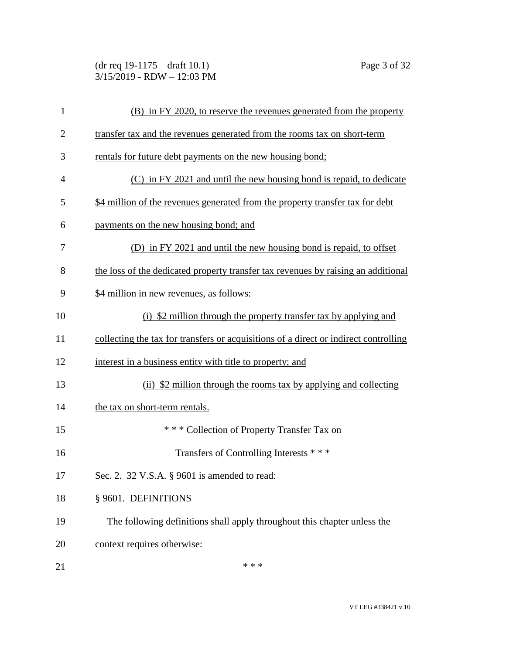(dr req 19-1175 – draft 10.1) Page 3 of 32 3/15/2019 - RDW – 12:03 PM

| $\mathbf{1}$   | (B) in FY 2020, to reserve the revenues generated from the property                  |
|----------------|--------------------------------------------------------------------------------------|
| $\overline{2}$ | transfer tax and the revenues generated from the rooms tax on short-term             |
| 3              | rentals for future debt payments on the new housing bond;                            |
| $\overline{4}$ | (C) in FY 2021 and until the new housing bond is repaid, to dedicate                 |
| 5              | \$4 million of the revenues generated from the property transfer tax for debt        |
| 6              | payments on the new housing bond; and                                                |
| 7              | (D) in FY 2021 and until the new housing bond is repaid, to offset                   |
| 8              | the loss of the dedicated property transfer tax revenues by raising an additional    |
| 9              | \$4 million in new revenues, as follows:                                             |
| 10             | (i) \$2 million through the property transfer tax by applying and                    |
| 11             | collecting the tax for transfers or acquisitions of a direct or indirect controlling |
| 12             | interest in a business entity with title to property; and                            |
| 13             | (ii) \$2 million through the rooms tax by applying and collecting                    |
| 14             | the tax on short-term rentals.                                                       |
| 15             | *** Collection of Property Transfer Tax on                                           |
| 16             | Transfers of Controlling Interests ***                                               |
| 17             | Sec. 2. 32 V.S.A. § 9601 is amended to read:                                         |
| 18             | § 9601. DEFINITIONS                                                                  |
| 19             | The following definitions shall apply throughout this chapter unless the             |
| 20             | context requires otherwise:                                                          |
| 21             | * * *                                                                                |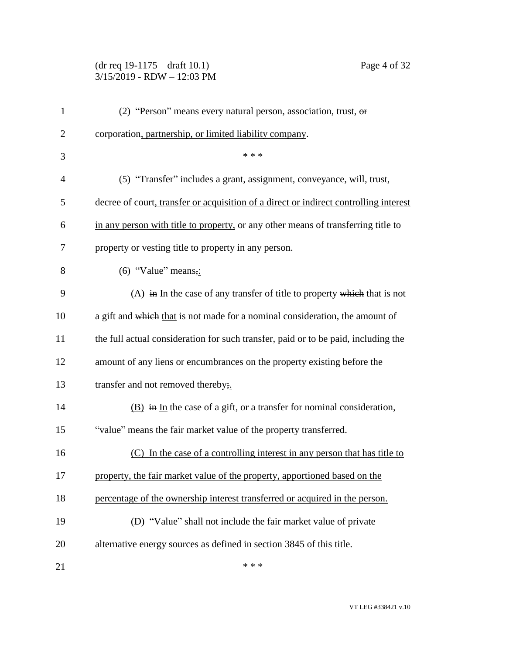## (dr req 19-1175 – draft 10.1) Page 4 of 32 3/15/2019 - RDW – 12:03 PM

| $\mathbf{1}$   | (2) "Person" means every natural person, association, trust, $\theta$ r               |
|----------------|---------------------------------------------------------------------------------------|
| $\mathbf{2}$   | corporation, partnership, or limited liability company.                               |
| 3              | * * *                                                                                 |
| $\overline{4}$ | (5) "Transfer" includes a grant, assignment, conveyance, will, trust,                 |
| 5              | decree of court, transfer or acquisition of a direct or indirect controlling interest |
| 6              | in any person with title to property, or any other means of transferring title to     |
| $\tau$         | property or vesting title to property in any person.                                  |
| 8              | $(6)$ "Value" means,:                                                                 |
| 9              | $(A)$ in In the case of any transfer of title to property which that is not           |
| 10             | a gift and which that is not made for a nominal consideration, the amount of          |
| 11             | the full actual consideration for such transfer, paid or to be paid, including the    |
| 12             | amount of any liens or encumbrances on the property existing before the               |
| 13             | transfer and not removed thereby;                                                     |
| 14             | $(B)$ in In the case of a gift, or a transfer for nominal consideration,              |
| 15             | "value" means the fair market value of the property transferred.                      |
| 16             | (C) In the case of a controlling interest in any person that has title to             |
| 17             | property, the fair market value of the property, apportioned based on the             |
| 18             | percentage of the ownership interest transferred or acquired in the person.           |
| 19             | (D) "Value" shall not include the fair market value of private                        |
| 20             | alternative energy sources as defined in section 3845 of this title.                  |
| 21             | * * *                                                                                 |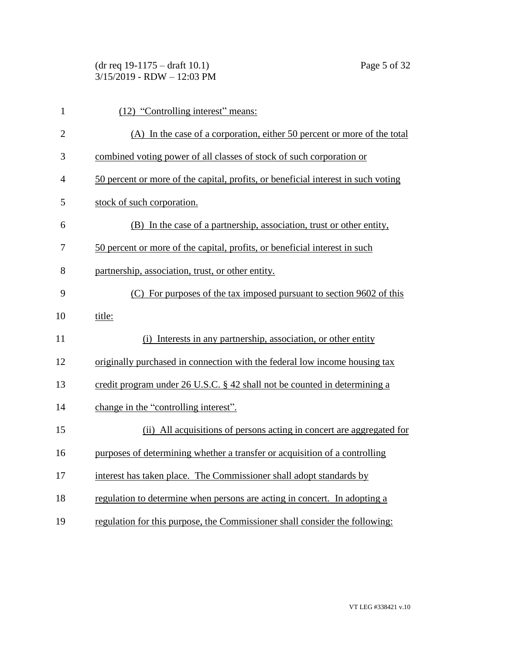| $(dr \text{ req } 19-1175 - draft 10.1)$ |  |
|------------------------------------------|--|
| $3/15/2019$ - RDW $- 12:03$ PM           |  |

1 (12) "Controlling interest" means:

Page 5 of 32

| $\overline{2}$ | (A) In the case of a corporation, either 50 percent or more of the total          |
|----------------|-----------------------------------------------------------------------------------|
| 3              | combined voting power of all classes of stock of such corporation or              |
| $\overline{4}$ | 50 percent or more of the capital, profits, or beneficial interest in such voting |
| 5              | stock of such corporation.                                                        |
| 6              | (B) In the case of a partnership, association, trust or other entity,             |
| 7              | 50 percent or more of the capital, profits, or beneficial interest in such        |
| 8              | partnership, association, trust, or other entity.                                 |
| 9              | (C) For purposes of the tax imposed pursuant to section 9602 of this              |
| 10             | title:                                                                            |
| 11             | Interests in any partnership, association, or other entity<br>(i)                 |
| 12             | originally purchased in connection with the federal low income housing tax        |
| 13             | credit program under 26 U.S.C. § 42 shall not be counted in determining a         |
| 14             | change in the "controlling interest".                                             |
| 15             | (ii) All acquisitions of persons acting in concert are aggregated for             |
| 16             | purposes of determining whether a transfer or acquisition of a controlling        |
| 17             | interest has taken place. The Commissioner shall adopt standards by               |
| 18             | regulation to determine when persons are acting in concert. In adopting a         |
| 19             | regulation for this purpose, the Commissioner shall consider the following:       |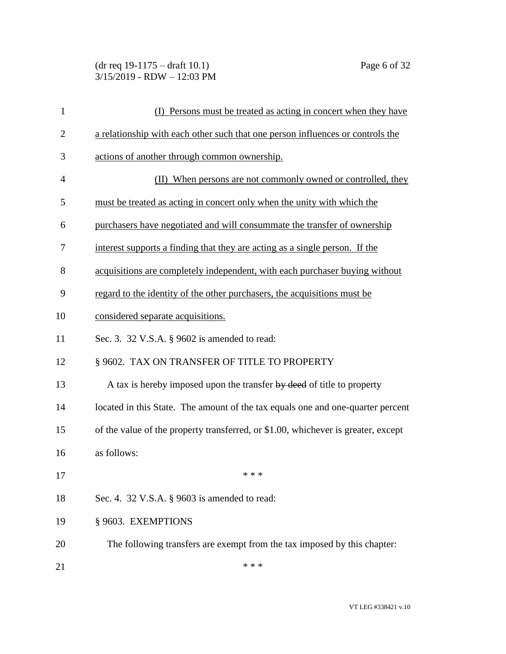## (dr req 19-1175 – draft 10.1) Page 6 of 32 3/15/2019 - RDW – 12:03 PM

| 1              | (I) Persons must be treated as acting in concert when they have                   |
|----------------|-----------------------------------------------------------------------------------|
| $\overline{2}$ | a relationship with each other such that one person influences or controls the    |
| 3              | actions of another through common ownership.                                      |
| $\overline{4}$ | (II) When persons are not commonly owned or controlled, they                      |
| 5              | must be treated as acting in concert only when the unity with which the           |
| 6              | purchasers have negotiated and will consummate the transfer of ownership          |
| 7              | interest supports a finding that they are acting as a single person. If the       |
| 8              | acquisitions are completely independent, with each purchaser buying without       |
| 9              | regard to the identity of the other purchasers, the acquisitions must be          |
| 10             | considered separate acquisitions.                                                 |
| 11             | Sec. 3. 32 V.S.A. § 9602 is amended to read:                                      |
| 12             | § 9602. TAX ON TRANSFER OF TITLE TO PROPERTY                                      |
| 13             | A tax is hereby imposed upon the transfer by deed of title to property            |
| 14             | located in this State. The amount of the tax equals one and one-quarter percent   |
| 15             | of the value of the property transferred, or \$1.00, whichever is greater, except |
| 16             | as follows:                                                                       |
| 17             | * * *                                                                             |
| 18             | Sec. 4. 32 V.S.A. § 9603 is amended to read:                                      |
| 19             | § 9603. EXEMPTIONS                                                                |
| 20             | The following transfers are exempt from the tax imposed by this chapter:          |
| 21             | * * *                                                                             |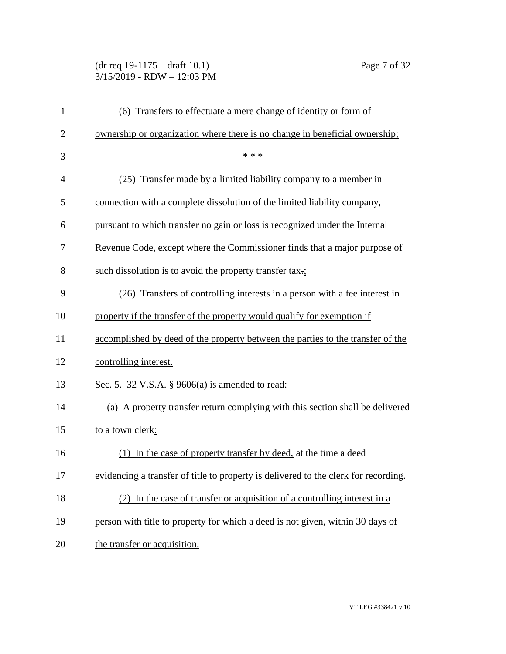# (dr req 19-1175 – draft 10.1) Page 7 of 32 3/15/2019 - RDW – 12:03 PM

| $\mathbf{1}$   | (6) Transfers to effectuate a mere change of identity or form of                    |
|----------------|-------------------------------------------------------------------------------------|
| $\overline{2}$ | ownership or organization where there is no change in beneficial ownership;         |
| 3              | * * *                                                                               |
| $\overline{4}$ | (25) Transfer made by a limited liability company to a member in                    |
| 5              | connection with a complete dissolution of the limited liability company,            |
| 6              | pursuant to which transfer no gain or loss is recognized under the Internal         |
| 7              | Revenue Code, except where the Commissioner finds that a major purpose of           |
| 8              | such dissolution is to avoid the property transfer tax.;                            |
| 9              | (26) Transfers of controlling interests in a person with a fee interest in          |
| 10             | property if the transfer of the property would qualify for exemption if             |
| 11             | accomplished by deed of the property between the parties to the transfer of the     |
| 12             | controlling interest.                                                               |
| 13             | Sec. 5. 32 V.S.A. $\S$ 9606(a) is amended to read:                                  |
| 14             | (a) A property transfer return complying with this section shall be delivered       |
| 15             | to a town clerk:                                                                    |
| 16             | (1) In the case of property transfer by deed, at the time a deed                    |
| 17             | evidencing a transfer of title to property is delivered to the clerk for recording. |
| 18             | (2) In the case of transfer or acquisition of a controlling interest in a           |
| 19             | person with title to property for which a deed is not given, within 30 days of      |
| 20             | the transfer or acquisition.                                                        |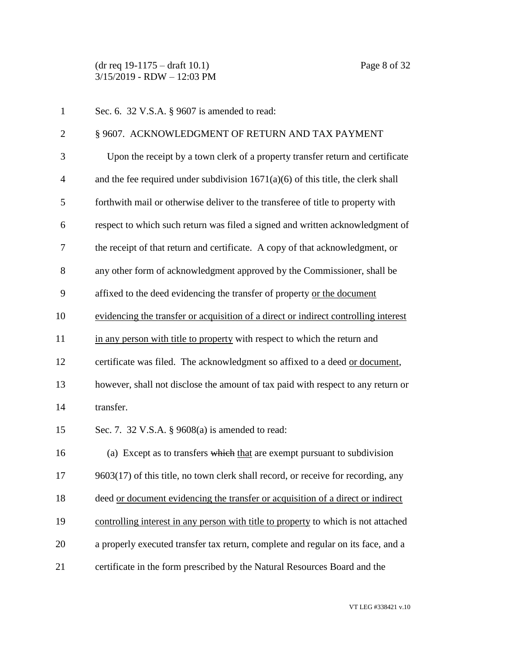(dr req 19-1175 – draft 10.1) Page 8 of 32 3/15/2019 - RDW – 12:03 PM

| $\mathbf{1}$   | Sec. 6. 32 V.S.A. § 9607 is amended to read:                                        |
|----------------|-------------------------------------------------------------------------------------|
| $\overline{2}$ | § 9607. ACKNOWLEDGMENT OF RETURN AND TAX PAYMENT                                    |
| 3              | Upon the receipt by a town clerk of a property transfer return and certificate      |
| $\overline{4}$ | and the fee required under subdivision $1671(a)(6)$ of this title, the clerk shall  |
| 5              | forthwith mail or otherwise deliver to the transferee of title to property with     |
| 6              | respect to which such return was filed a signed and written acknowledgment of       |
| 7              | the receipt of that return and certificate. A copy of that acknowledgment, or       |
| 8              | any other form of acknowledgment approved by the Commissioner, shall be             |
| 9              | affixed to the deed evidencing the transfer of property or the document             |
| 10             | evidencing the transfer or acquisition of a direct or indirect controlling interest |
| 11             | in any person with title to property with respect to which the return and           |
| 12             | certificate was filed. The acknowledgment so affixed to a deed or document,         |
| 13             | however, shall not disclose the amount of tax paid with respect to any return or    |
| 14             | transfer.                                                                           |
| 15             | Sec. 7. 32 V.S.A. § 9608(a) is amended to read:                                     |
| 16             | (a) Except as to transfers which that are exempt pursuant to subdivision            |
| 17             | 9603(17) of this title, no town clerk shall record, or receive for recording, any   |
| 18             | deed or document evidencing the transfer or acquisition of a direct or indirect     |
| 19             | controlling interest in any person with title to property to which is not attached  |
| 20             | a properly executed transfer tax return, complete and regular on its face, and a    |
| 21             | certificate in the form prescribed by the Natural Resources Board and the           |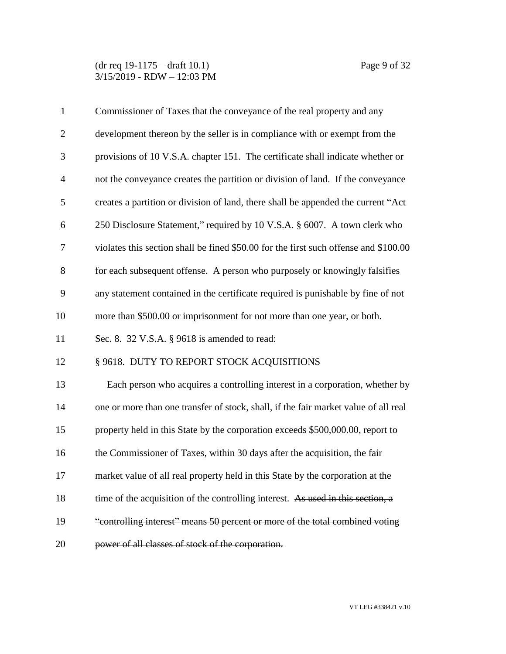| $\mathbf{1}$   | Commissioner of Taxes that the conveyance of the real property and any               |
|----------------|--------------------------------------------------------------------------------------|
| $\overline{2}$ | development thereon by the seller is in compliance with or exempt from the           |
| 3              | provisions of 10 V.S.A. chapter 151. The certificate shall indicate whether or       |
| $\overline{4}$ | not the conveyance creates the partition or division of land. If the conveyance      |
| 5              | creates a partition or division of land, there shall be appended the current "Act    |
| 6              | 250 Disclosure Statement," required by 10 V.S.A. § 6007. A town clerk who            |
| 7              | violates this section shall be fined \$50.00 for the first such offense and \$100.00 |
| 8              | for each subsequent offense. A person who purposely or knowingly falsifies           |
| 9              | any statement contained in the certificate required is punishable by fine of not     |
| 10             | more than \$500.00 or imprisonment for not more than one year, or both.              |
| 11             | Sec. 8. 32 V.S.A. § 9618 is amended to read:                                         |
| 12             | § 9618. DUTY TO REPORT STOCK ACQUISITIONS                                            |
| 13             | Each person who acquires a controlling interest in a corporation, whether by         |
| 14             | one or more than one transfer of stock, shall, if the fair market value of all real  |
| 15             | property held in this State by the corporation exceeds \$500,000.00, report to       |
| 16             | the Commissioner of Taxes, within 30 days after the acquisition, the fair            |
| 17             | market value of all real property held in this State by the corporation at the       |
| 18             | time of the acquisition of the controlling interest. As used in this section, a      |
| 19             | "controlling interest" means 50 percent or more of the total combined voting         |
| 20             | power of all classes of stock of the corporation.                                    |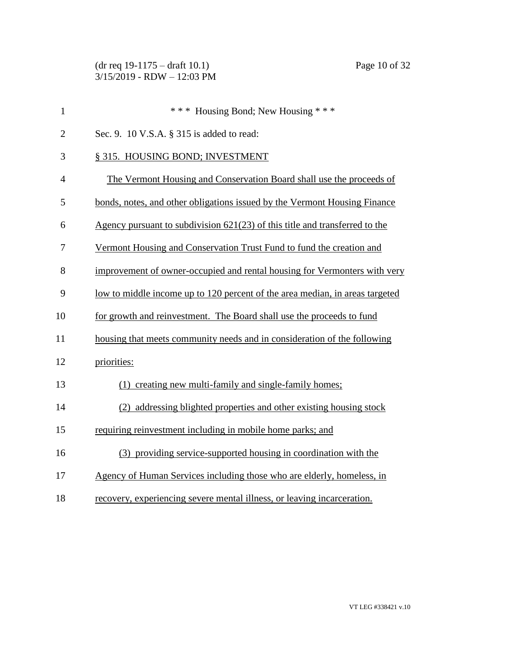| $\mathbf{1}$   | *** Housing Bond; New Housing ***                                                   |
|----------------|-------------------------------------------------------------------------------------|
| $\overline{2}$ | Sec. 9. 10 V.S.A. § 315 is added to read:                                           |
| 3              | § 315. HOUSING BOND; INVESTMENT                                                     |
| $\overline{4}$ | The Vermont Housing and Conservation Board shall use the proceeds of                |
| 5              | bonds, notes, and other obligations issued by the Vermont Housing Finance           |
| 6              | Agency pursuant to subdivision $621(23)$ of this title and transferred to the       |
| 7              | Vermont Housing and Conservation Trust Fund to fund the creation and                |
| 8              | improvement of owner-occupied and rental housing for Vermonters with very           |
| 9              | <u>low to middle income up to 120 percent of the area median, in areas targeted</u> |
| 10             | for growth and reinvestment. The Board shall use the proceeds to fund               |
| 11             | housing that meets community needs and in consideration of the following            |
| 12             | priorities:                                                                         |
| 13             | (1) creating new multi-family and single-family homes;                              |
| 14             | (2) addressing blighted properties and other existing housing stock                 |
| 15             | requiring reinvestment including in mobile home parks; and                          |
| 16             | (3) providing service-supported housing in coordination with the                    |
| 17             | Agency of Human Services including those who are elderly, homeless, in              |
| 18             | recovery, experiencing severe mental illness, or leaving incarceration.             |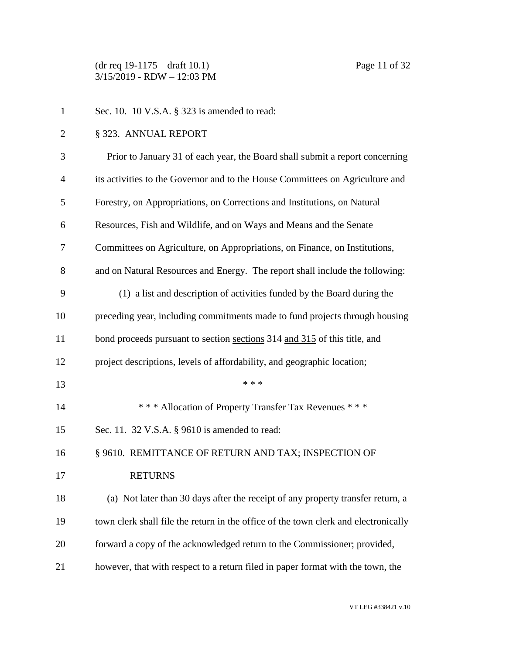(dr req 19-1175 – draft 10.1) Page 11 of 32 3/15/2019 - RDW – 12:03 PM

- Sec. 10. 10 V.S.A. § 323 is amended to read:
- § 323. ANNUAL REPORT

| 3              | Prior to January 31 of each year, the Board shall submit a report concerning        |
|----------------|-------------------------------------------------------------------------------------|
| $\overline{4}$ | its activities to the Governor and to the House Committees on Agriculture and       |
| 5              | Forestry, on Appropriations, on Corrections and Institutions, on Natural            |
| 6              | Resources, Fish and Wildlife, and on Ways and Means and the Senate                  |
| 7              | Committees on Agriculture, on Appropriations, on Finance, on Institutions,          |
| 8              | and on Natural Resources and Energy. The report shall include the following:        |
| 9              | (1) a list and description of activities funded by the Board during the             |
| 10             | preceding year, including commitments made to fund projects through housing         |
| 11             | bond proceeds pursuant to section sections 314 and 315 of this title, and           |
| 12             | project descriptions, levels of affordability, and geographic location;             |
| 13             | * * *                                                                               |
| 14             | *** Allocation of Property Transfer Tax Revenues ***                                |
| 15             | Sec. 11. 32 V.S.A. § 9610 is amended to read:                                       |
| 16             | § 9610. REMITTANCE OF RETURN AND TAX; INSPECTION OF                                 |
| 17             | <b>RETURNS</b>                                                                      |
| 18             | (a) Not later than 30 days after the receipt of any property transfer return, a     |
| 19             | town clerk shall file the return in the office of the town clerk and electronically |
| 20             | forward a copy of the acknowledged return to the Commissioner; provided,            |
| 21             | however, that with respect to a return filed in paper format with the town, the     |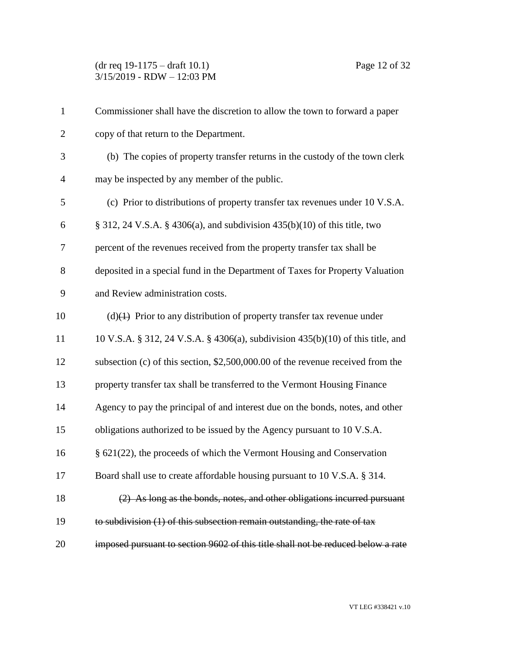| $\mathbf{1}$   | Commissioner shall have the discretion to allow the town to forward a paper      |
|----------------|----------------------------------------------------------------------------------|
| $\overline{2}$ | copy of that return to the Department.                                           |
| 3              | (b) The copies of property transfer returns in the custody of the town clerk     |
| $\overline{4}$ | may be inspected by any member of the public.                                    |
| 5              | (c) Prior to distributions of property transfer tax revenues under 10 V.S.A.     |
| 6              | $\S$ 312, 24 V.S.A. $\S$ 4306(a), and subdivision 435(b)(10) of this title, two  |
| 7              | percent of the revenues received from the property transfer tax shall be         |
| 8              | deposited in a special fund in the Department of Taxes for Property Valuation    |
| 9              | and Review administration costs.                                                 |
| 10             | $(d)$ Prior to any distribution of property transfer tax revenue under           |
| 11             | 10 V.S.A. § 312, 24 V.S.A. § 4306(a), subdivision 435(b)(10) of this title, and  |
| 12             | subsection (c) of this section, \$2,500,000.00 of the revenue received from the  |
| 13             | property transfer tax shall be transferred to the Vermont Housing Finance        |
| 14             | Agency to pay the principal of and interest due on the bonds, notes, and other   |
| 15             | obligations authorized to be issued by the Agency pursuant to 10 V.S.A.          |
| 16             | § 621(22), the proceeds of which the Vermont Housing and Conservation            |
| 17             | Board shall use to create affordable housing pursuant to 10 V.S.A. § 314.        |
| 18             | (2) As long as the bonds, notes, and other obligations incurred pursuant         |
| 19             | to subdivision (1) of this subsection remain outstanding, the rate of tax        |
| 20             | imposed pursuant to section 9602 of this title shall not be reduced below a rate |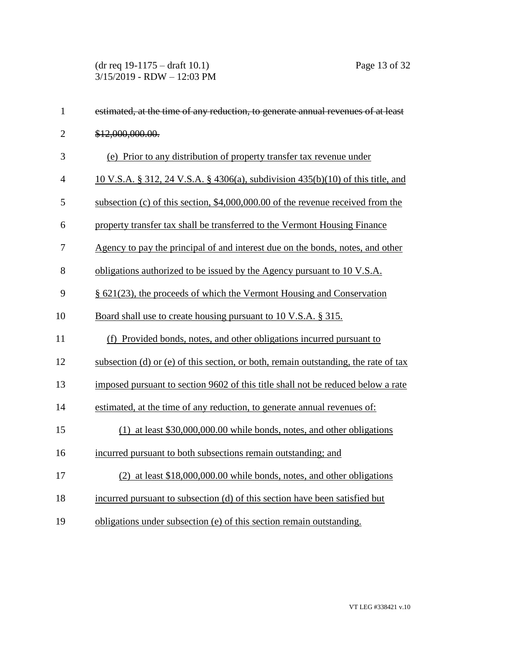(dr req 19-1175 – draft 10.1) Page 13 of 32 3/15/2019 - RDW – 12:03 PM

| $\mathbf{1}$   | estimated, at the time of any reduction, to generate annual revenues of at least    |
|----------------|-------------------------------------------------------------------------------------|
| $\overline{2}$ | \$12,000,000.00.                                                                    |
| 3              | (e) Prior to any distribution of property transfer tax revenue under                |
| $\overline{4}$ | 10 V.S.A. § 312, 24 V.S.A. § 4306(a), subdivision 435(b)(10) of this title, and     |
| 5              | subsection (c) of this section, \$4,000,000.00 of the revenue received from the     |
| 6              | property transfer tax shall be transferred to the Vermont Housing Finance           |
| $\tau$         | Agency to pay the principal of and interest due on the bonds, notes, and other      |
| 8              | obligations authorized to be issued by the Agency pursuant to 10 V.S.A.             |
| 9              | $\S$ 621(23), the proceeds of which the Vermont Housing and Conservation            |
| 10             | Board shall use to create housing pursuant to 10 V.S.A. § 315.                      |
| 11             | (f) Provided bonds, notes, and other obligations incurred pursuant to               |
| 12             | subsection (d) or (e) of this section, or both, remain outstanding, the rate of tax |
| 13             | imposed pursuant to section 9602 of this title shall not be reduced below a rate    |
| 14             | estimated, at the time of any reduction, to generate annual revenues of:            |
| 15             | $(1)$ at least \$30,000,000.00 while bonds, notes, and other obligations            |
| 16             | incurred pursuant to both subsections remain outstanding; and                       |
| 17             | $(2)$ at least \$18,000,000.00 while bonds, notes, and other obligations            |
| 18             | incurred pursuant to subsection (d) of this section have been satisfied but         |
| 19             | obligations under subsection (e) of this section remain outstanding.                |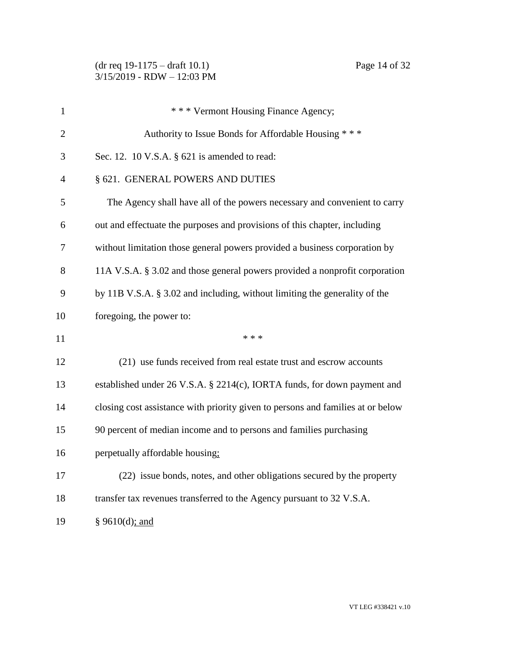| 1              | * * * Vermont Housing Finance Agency;                                           |
|----------------|---------------------------------------------------------------------------------|
| $\overline{2}$ | Authority to Issue Bonds for Affordable Housing ***                             |
| 3              | Sec. 12. 10 V.S.A. § 621 is amended to read:                                    |
| 4              | § 621. GENERAL POWERS AND DUTIES                                                |
| 5              | The Agency shall have all of the powers necessary and convenient to carry       |
| 6              | out and effectuate the purposes and provisions of this chapter, including       |
| 7              | without limitation those general powers provided a business corporation by      |
| 8              | 11A V.S.A. § 3.02 and those general powers provided a nonprofit corporation     |
| 9              | by 11B V.S.A. § 3.02 and including, without limiting the generality of the      |
| 10             | foregoing, the power to:                                                        |
| 11             | * * *                                                                           |
| 12             | (21) use funds received from real estate trust and escrow accounts              |
| 13             | established under 26 V.S.A. § 2214(c), IORTA funds, for down payment and        |
| 14             | closing cost assistance with priority given to persons and families at or below |
| 15             | 90 percent of median income and to persons and families purchasing              |
| 16             | perpetually affordable housing:                                                 |
| 17             | (22) issue bonds, notes, and other obligations secured by the property          |
| 18             | transfer tax revenues transferred to the Agency pursuant to 32 V.S.A.           |
| 19             | § 9610(d); and                                                                  |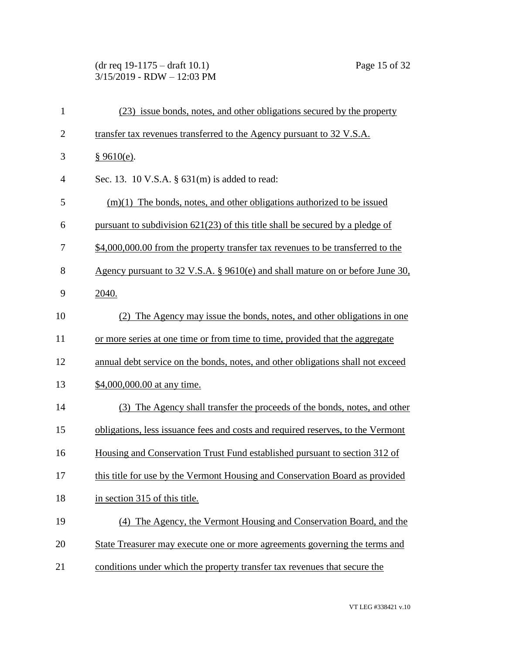# (dr req 19-1175 – draft 10.1) Page 15 of 32 3/15/2019 - RDW – 12:03 PM

| $\mathbf{1}$   | (23) issue bonds, notes, and other obligations secured by the property          |
|----------------|---------------------------------------------------------------------------------|
| $\overline{2}$ | transfer tax revenues transferred to the Agency pursuant to 32 V.S.A.           |
| 3              | § 9610(e).                                                                      |
| $\overline{4}$ | Sec. 13. 10 V.S.A. $\S$ 631(m) is added to read:                                |
| 5              | $(m)(1)$ The bonds, notes, and other obligations authorized to be issued        |
| 6              | pursuant to subdivision $621(23)$ of this title shall be secured by a pledge of |
| 7              | \$4,000,000.00 from the property transfer tax revenues to be transferred to the |
| 8              | Agency pursuant to 32 V.S.A. § 9610(e) and shall mature on or before June 30,   |
| 9              | 2040.                                                                           |
| 10             | (2) The Agency may issue the bonds, notes, and other obligations in one         |
| 11             | or more series at one time or from time to time, provided that the aggregate    |
| 12             | annual debt service on the bonds, notes, and other obligations shall not exceed |
| 13             | \$4,000,000.00 at any time.                                                     |
| 14             | (3) The Agency shall transfer the proceeds of the bonds, notes, and other       |
| 15             | obligations, less issuance fees and costs and required reserves, to the Vermont |
| 16             | Housing and Conservation Trust Fund established pursuant to section 312 of      |
| 17             | this title for use by the Vermont Housing and Conservation Board as provided    |
| 18             | in section 315 of this title.                                                   |
| 19             | (4) The Agency, the Vermont Housing and Conservation Board, and the             |
| 20             | State Treasurer may execute one or more agreements governing the terms and      |
| 21             | conditions under which the property transfer tax revenues that secure the       |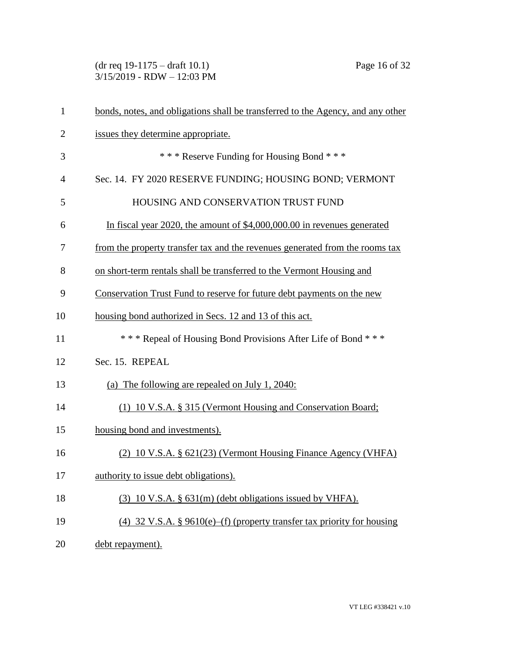(dr req 19-1175 – draft 10.1) Page 16 of 32 3/15/2019 - RDW – 12:03 PM

| $\mathbf{1}$   | bonds, notes, and obligations shall be transferred to the Agency, and any other |
|----------------|---------------------------------------------------------------------------------|
| $\overline{2}$ | issues they determine appropriate.                                              |
| 3              | *** Reserve Funding for Housing Bond ***                                        |
| 4              | Sec. 14. FY 2020 RESERVE FUNDING; HOUSING BOND; VERMONT                         |
| 5              | HOUSING AND CONSERVATION TRUST FUND                                             |
| 6              | In fiscal year 2020, the amount of \$4,000,000.00 in revenues generated         |
| 7              | from the property transfer tax and the revenues generated from the rooms tax    |
| 8              | on short-term rentals shall be transferred to the Vermont Housing and           |
| 9              | Conservation Trust Fund to reserve for future debt payments on the new          |
| 10             | housing bond authorized in Secs. 12 and 13 of this act.                         |
| 11             | *** Repeal of Housing Bond Provisions After Life of Bond ***                    |
| 12             | Sec. 15. REPEAL                                                                 |
| 13             | (a) The following are repealed on July 1, 2040:                                 |
| 14             | (1) 10 V.S.A. § 315 (Vermont Housing and Conservation Board;                    |
| 15             | housing bond and investments).                                                  |
| 16             | (2) 10 V.S.A. § 621(23) (Vermont Housing Finance Agency (VHFA)                  |
| 17             | authority to issue debt obligations).                                           |
| 18             | $(3)$ 10 V.S.A. § 631(m) (debt obligations issued by VHFA).                     |
| 19             | (4) 32 V.S.A. § 9610(e)–(f) (property transfer tax priority for housing         |
| 20             | debt repayment).                                                                |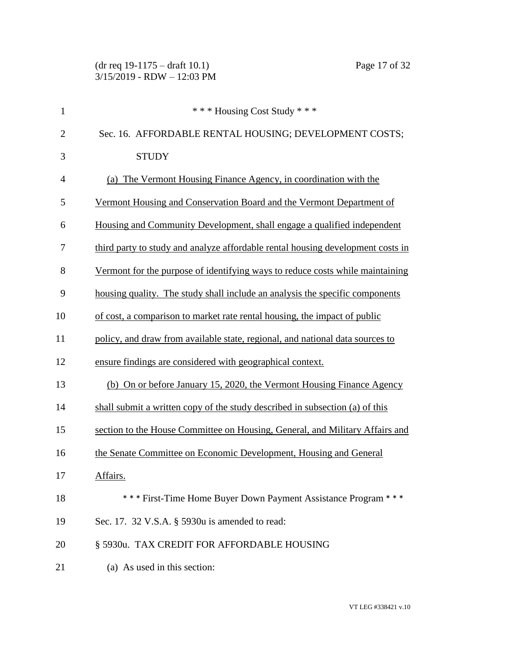| $\mathbf{1}$   | *** Housing Cost Study ***                                                      |
|----------------|---------------------------------------------------------------------------------|
| $\overline{2}$ | Sec. 16. AFFORDABLE RENTAL HOUSING; DEVELOPMENT COSTS;                          |
| 3              | <b>STUDY</b>                                                                    |
| $\overline{4}$ | (a) The Vermont Housing Finance Agency, in coordination with the                |
| 5              | Vermont Housing and Conservation Board and the Vermont Department of            |
| 6              | Housing and Community Development, shall engage a qualified independent         |
| 7              | third party to study and analyze affordable rental housing development costs in |
| 8              | Vermont for the purpose of identifying ways to reduce costs while maintaining   |
| 9              | housing quality. The study shall include an analysis the specific components    |
| 10             | of cost, a comparison to market rate rental housing, the impact of public       |
| 11             | policy, and draw from available state, regional, and national data sources to   |
| 12             | ensure findings are considered with geographical context.                       |
| 13             | (b) On or before January 15, 2020, the Vermont Housing Finance Agency           |
| 14             | shall submit a written copy of the study described in subsection (a) of this    |
| 15             | section to the House Committee on Housing, General, and Military Affairs and    |
| 16             | the Senate Committee on Economic Development, Housing and General               |
| 17             | Affairs.                                                                        |
| 18             | *** First-Time Home Buyer Down Payment Assistance Program ***                   |
| 19             | Sec. 17. 32 V.S.A. § 5930u is amended to read:                                  |
| 20             | § 5930u. TAX CREDIT FOR AFFORDABLE HOUSING                                      |
| 21             | (a) As used in this section:                                                    |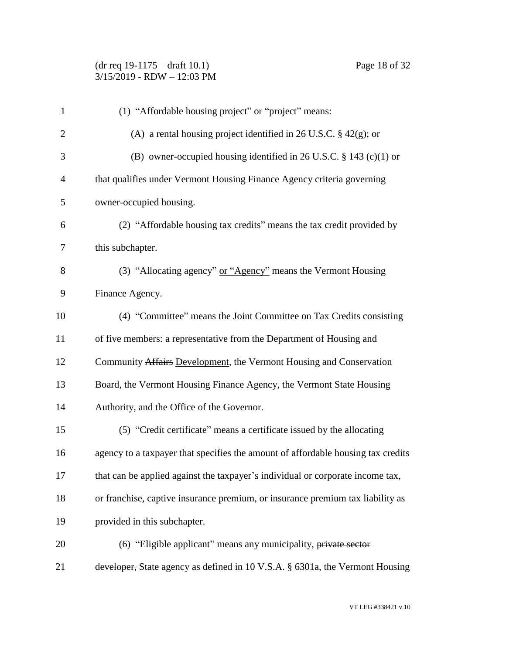| $\mathbf{1}$   | (1) "Affordable housing project" or "project" means:                             |
|----------------|----------------------------------------------------------------------------------|
| $\overline{2}$ | (A) a rental housing project identified in 26 U.S.C. $\S$ 42(g); or              |
| 3              | (B) owner-occupied housing identified in 26 U.S.C. $\S$ 143 (c)(1) or            |
| 4              | that qualifies under Vermont Housing Finance Agency criteria governing           |
| 5              | owner-occupied housing.                                                          |
| 6              | (2) "Affordable housing tax credits" means the tax credit provided by            |
| 7              | this subchapter.                                                                 |
| 8              | (3) "Allocating agency" or "Agency" means the Vermont Housing                    |
| 9              | Finance Agency.                                                                  |
| 10             | (4) "Committee" means the Joint Committee on Tax Credits consisting              |
| 11             | of five members: a representative from the Department of Housing and             |
| 12             | Community Affairs Development, the Vermont Housing and Conservation              |
| 13             | Board, the Vermont Housing Finance Agency, the Vermont State Housing             |
| 14             | Authority, and the Office of the Governor.                                       |
| 15             | (5) "Credit certificate" means a certificate issued by the allocating            |
| 16             | agency to a taxpayer that specifies the amount of affordable housing tax credits |
| 17             | that can be applied against the taxpayer's individual or corporate income tax,   |
| 18             | or franchise, captive insurance premium, or insurance premium tax liability as   |
| 19             | provided in this subchapter.                                                     |
| 20             | (6) "Eligible applicant" means any municipality, private sector                  |
| 21             | developer, State agency as defined in 10 V.S.A. § 6301a, the Vermont Housing     |
|                |                                                                                  |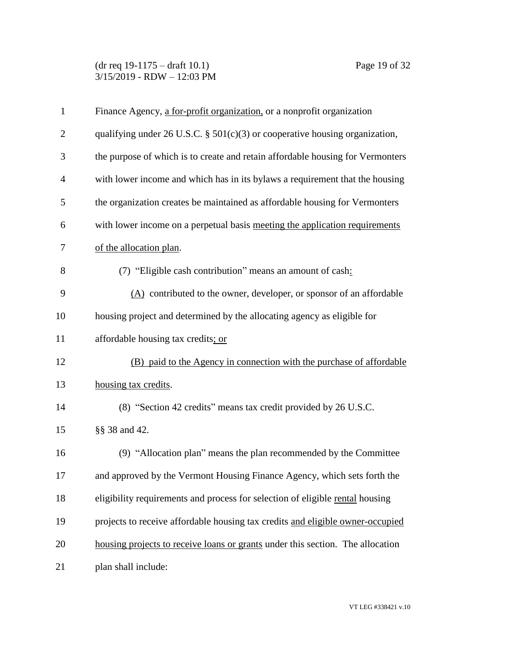(dr req 19-1175 – draft 10.1) Page 19 of 32 3/15/2019 - RDW – 12:03 PM

| $\mathbf{1}$   | Finance Agency, a for-profit organization, or a nonprofit organization         |
|----------------|--------------------------------------------------------------------------------|
| $\overline{2}$ | qualifying under 26 U.S.C. $\S$ 501(c)(3) or cooperative housing organization, |
| 3              | the purpose of which is to create and retain affordable housing for Vermonters |
| $\overline{4}$ | with lower income and which has in its bylaws a requirement that the housing   |
| 5              | the organization creates be maintained as affordable housing for Vermonters    |
| 6              | with lower income on a perpetual basis meeting the application requirements    |
| 7              | of the allocation plan.                                                        |
| 8              | (7) "Eligible cash contribution" means an amount of cash:                      |
| 9              | $(A)$ contributed to the owner, developer, or sponsor of an affordable         |
| 10             | housing project and determined by the allocating agency as eligible for        |
| 11             | affordable housing tax credits; or                                             |
| 12             | (B) paid to the Agency in connection with the purchase of affordable           |
| 13             | housing tax credits.                                                           |
| 14             | (8) "Section 42 credits" means tax credit provided by 26 U.S.C.                |
| 15             | §§ 38 and 42.                                                                  |
| 16             | (9) "Allocation plan" means the plan recommended by the Committee              |
| 17             | and approved by the Vermont Housing Finance Agency, which sets forth the       |
| 18             | eligibility requirements and process for selection of eligible rental housing  |
| 19             | projects to receive affordable housing tax credits and eligible owner-occupied |
| 20             | housing projects to receive loans or grants under this section. The allocation |
| 21             | plan shall include:                                                            |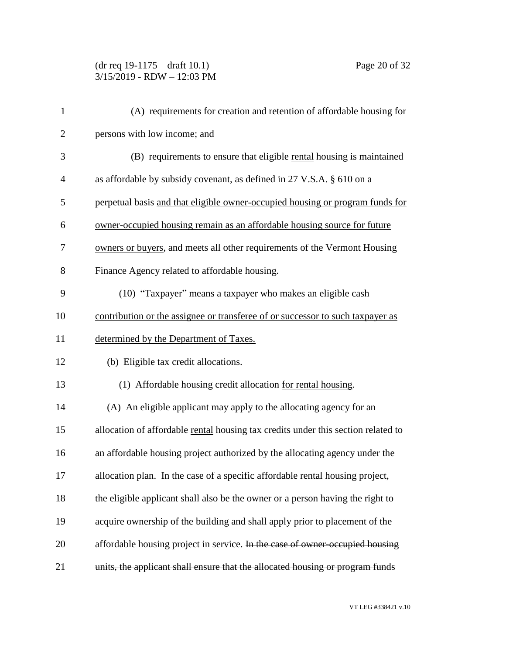## (dr req 19-1175 – draft 10.1) Page 20 of 32 3/15/2019 - RDW – 12:03 PM

| $\mathbf{1}$   | (A) requirements for creation and retention of affordable housing for             |
|----------------|-----------------------------------------------------------------------------------|
| $\overline{2}$ | persons with low income; and                                                      |
| 3              | (B) requirements to ensure that eligible rental housing is maintained             |
| $\overline{4}$ | as affordable by subsidy covenant, as defined in 27 V.S.A. § 610 on a             |
| 5              | perpetual basis and that eligible owner-occupied housing or program funds for     |
| 6              | owner-occupied housing remain as an affordable housing source for future          |
| 7              | owners or buyers, and meets all other requirements of the Vermont Housing         |
| 8              | Finance Agency related to affordable housing.                                     |
| 9              | (10) "Taxpayer" means a taxpayer who makes an eligible cash                       |
| 10             | contribution or the assignee or transferee of or successor to such taxpayer as    |
| 11             | determined by the Department of Taxes.                                            |
| 12             | (b) Eligible tax credit allocations.                                              |
| 13             | (1) Affordable housing credit allocation for rental housing.                      |
| 14             | (A) An eligible applicant may apply to the allocating agency for an               |
| 15             | allocation of affordable rental housing tax credits under this section related to |
| 16             | an affordable housing project authorized by the allocating agency under the       |
| 17             | allocation plan. In the case of a specific affordable rental housing project,     |
| 18             | the eligible applicant shall also be the owner or a person having the right to    |
| 19             | acquire ownership of the building and shall apply prior to placement of the       |
| 20             | affordable housing project in service. In the case of owner-occupied housing      |
| 21             | units, the applicant shall ensure that the allocated housing or program funds     |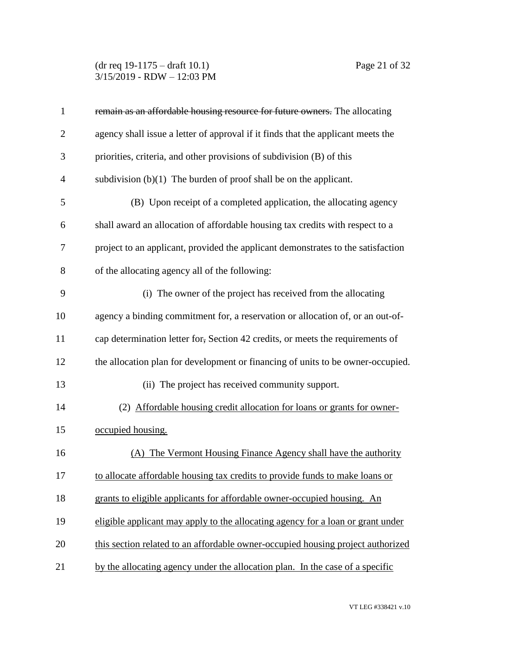(dr req 19-1175 – draft 10.1) Page 21 of 32 3/15/2019 - RDW – 12:03 PM

| $\mathbf{1}$   | remain as an affordable housing resource for future owners. The allocating       |
|----------------|----------------------------------------------------------------------------------|
| $\overline{2}$ | agency shall issue a letter of approval if it finds that the applicant meets the |
| 3              | priorities, criteria, and other provisions of subdivision (B) of this            |
| $\overline{4}$ | subdivision $(b)(1)$ The burden of proof shall be on the applicant.              |
| 5              | (B) Upon receipt of a completed application, the allocating agency               |
| 6              | shall award an allocation of affordable housing tax credits with respect to a    |
| 7              | project to an applicant, provided the applicant demonstrates to the satisfaction |
| 8              | of the allocating agency all of the following:                                   |
| 9              | (i) The owner of the project has received from the allocating                    |
| 10             | agency a binding commitment for, a reservation or allocation of, or an out-of-   |
| 11             | cap determination letter for, Section 42 credits, or meets the requirements of   |
| 12             | the allocation plan for development or financing of units to be owner-occupied.  |
| 13             | (ii) The project has received community support.                                 |
| 14             | (2) Affordable housing credit allocation for loans or grants for owner-          |
| 15             | occupied housing.                                                                |
| 16             | (A) The Vermont Housing Finance Agency shall have the authority                  |
| 17             | to allocate affordable housing tax credits to provide funds to make loans or     |
| 18             | grants to eligible applicants for affordable owner-occupied housing. An          |
| 19             | eligible applicant may apply to the allocating agency for a loan or grant under  |
| 20             | this section related to an affordable owner-occupied housing project authorized  |
| 21             | by the allocating agency under the allocation plan. In the case of a specific    |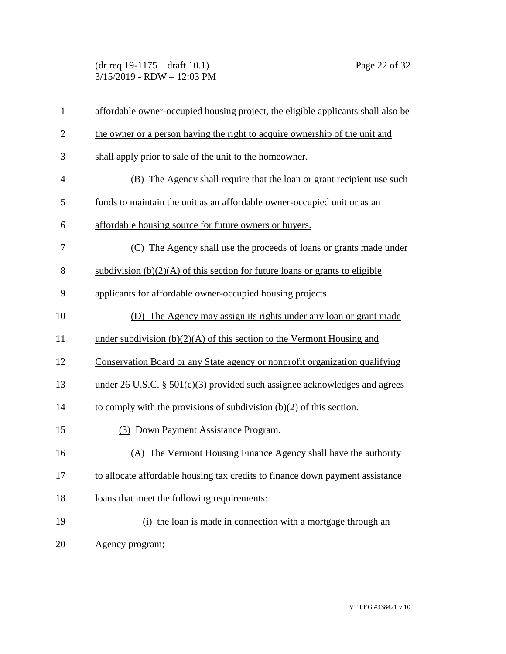(dr req 19-1175 – draft 10.1) Page 22 of 32 3/15/2019 - RDW – 12:03 PM

| $\mathbf{1}$   | affordable owner-occupied housing project, the eligible applicants shall also be |
|----------------|----------------------------------------------------------------------------------|
| $\overline{2}$ | the owner or a person having the right to acquire ownership of the unit and      |
| 3              | shall apply prior to sale of the unit to the homeowner.                          |
| $\overline{4}$ | (B) The Agency shall require that the loan or grant recipient use such           |
| 5              | funds to maintain the unit as an affordable owner-occupied unit or as an         |
| 6              | affordable housing source for future owners or buyers.                           |
| 7              | (C) The Agency shall use the proceeds of loans or grants made under              |
| 8              | subdivision $(b)(2)(A)$ of this section for future loans or grants to eligible   |
| 9              | applicants for affordable owner-occupied housing projects.                       |
| 10             | (D) The Agency may assign its rights under any loan or grant made                |
| 11             | under subdivision $(b)(2)(A)$ of this section to the Vermont Housing and         |
| 12             | Conservation Board or any State agency or nonprofit organization qualifying      |
| 13             | under 26 U.S.C. $\S$ 501(c)(3) provided such assignee acknowledges and agrees    |
| 14             | to comply with the provisions of subdivision $(b)(2)$ of this section.           |
| 15             | (3) Down Payment Assistance Program.                                             |
| 16             | (A) The Vermont Housing Finance Agency shall have the authority                  |
| 17             | to allocate affordable housing tax credits to finance down payment assistance    |
| 18             | loans that meet the following requirements:                                      |
| 19             | (i) the loan is made in connection with a mortgage through an                    |
| 20             | Agency program;                                                                  |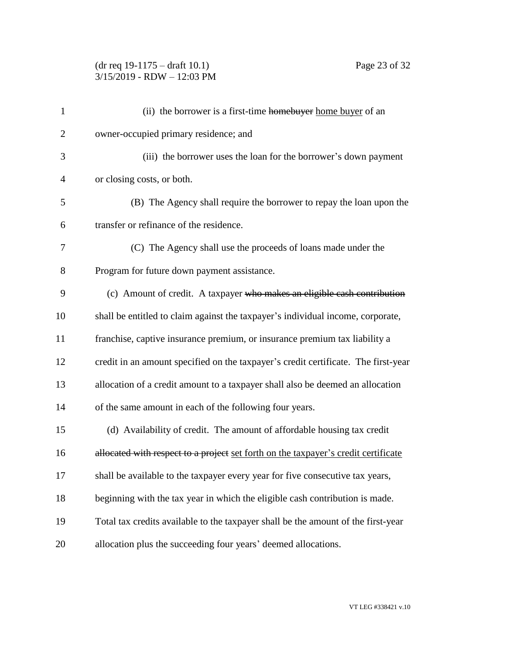## (dr req 19-1175 – draft 10.1) Page 23 of 32 3/15/2019 - RDW – 12:03 PM

| $\mathbf{1}$   | (ii) the borrower is a first-time homebuyer home buyer of an                       |
|----------------|------------------------------------------------------------------------------------|
| $\overline{2}$ | owner-occupied primary residence; and                                              |
| 3              | (iii) the borrower uses the loan for the borrower's down payment                   |
| $\overline{4}$ | or closing costs, or both.                                                         |
| 5              | (B) The Agency shall require the borrower to repay the loan upon the               |
| 6              | transfer or refinance of the residence.                                            |
| 7              | (C) The Agency shall use the proceeds of loans made under the                      |
| 8              | Program for future down payment assistance.                                        |
| 9              | (c) Amount of credit. A taxpayer who makes an eligible cash contribution           |
| 10             | shall be entitled to claim against the taxpayer's individual income, corporate,    |
| 11             | franchise, captive insurance premium, or insurance premium tax liability a         |
| 12             | credit in an amount specified on the taxpayer's credit certificate. The first-year |
| 13             | allocation of a credit amount to a taxpayer shall also be deemed an allocation     |
| 14             | of the same amount in each of the following four years.                            |
| 15             | (d) Availability of credit. The amount of affordable housing tax credit            |
| 16             | allocated with respect to a project set forth on the taxpayer's credit certificate |
| 17             | shall be available to the taxpayer every year for five consecutive tax years,      |
| 18             | beginning with the tax year in which the eligible cash contribution is made.       |
| 19             | Total tax credits available to the taxpayer shall be the amount of the first-year  |
| 20             | allocation plus the succeeding four years' deemed allocations.                     |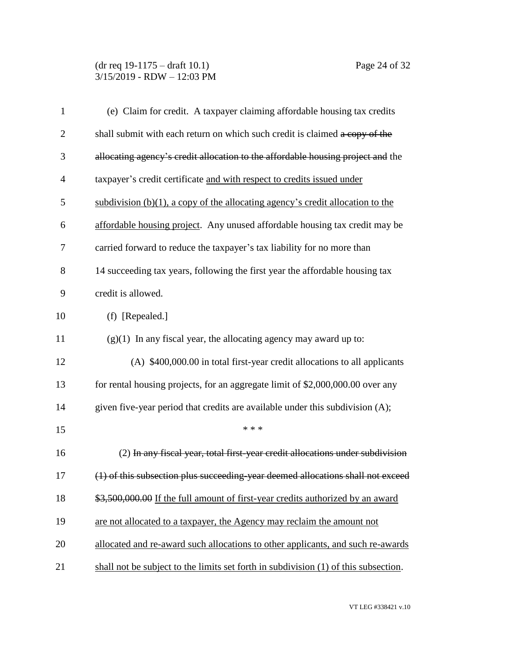### (dr req 19-1175 – draft 10.1) Page 24 of 32 3/15/2019 - RDW – 12:03 PM

| $\mathbf{1}$   | (e) Claim for credit. A taxpayer claiming affordable housing tax credits            |
|----------------|-------------------------------------------------------------------------------------|
| $\overline{2}$ | shall submit with each return on which such credit is claimed a copy of the         |
| 3              | allocating agency's credit allocation to the affordable housing project and the     |
| $\overline{4}$ | taxpayer's credit certificate and with respect to credits issued under              |
| 5              | subdivision $(b)(1)$ , a copy of the allocating agency's credit allocation to the   |
| 6              | affordable housing project. Any unused affordable housing tax credit may be         |
| 7              | carried forward to reduce the taxpayer's tax liability for no more than             |
| 8              | 14 succeeding tax years, following the first year the affordable housing tax        |
| 9              | credit is allowed.                                                                  |
| 10             | (f) [Repealed.]                                                                     |
| 11             | $(g)(1)$ In any fiscal year, the allocating agency may award up to:                 |
| 12             | (A) \$400,000.00 in total first-year credit allocations to all applicants           |
| 13             | for rental housing projects, for an aggregate limit of \$2,000,000.00 over any      |
| 14             | given five-year period that credits are available under this subdivision (A);       |
| 15             | * * *                                                                               |
| 16             | (2) In any fiscal year, total first-year credit allocations under subdivision       |
| 17             | (1) of this subsection plus succeeding-year deemed allocations shall not exceed     |
| 18             | \$3,500,000.00 If the full amount of first-year credits authorized by an award      |
| 19             | are not allocated to a taxpayer, the Agency may reclaim the amount not              |
| 20             | allocated and re-award such allocations to other applicants, and such re-awards     |
| 21             | shall not be subject to the limits set forth in subdivision (1) of this subsection. |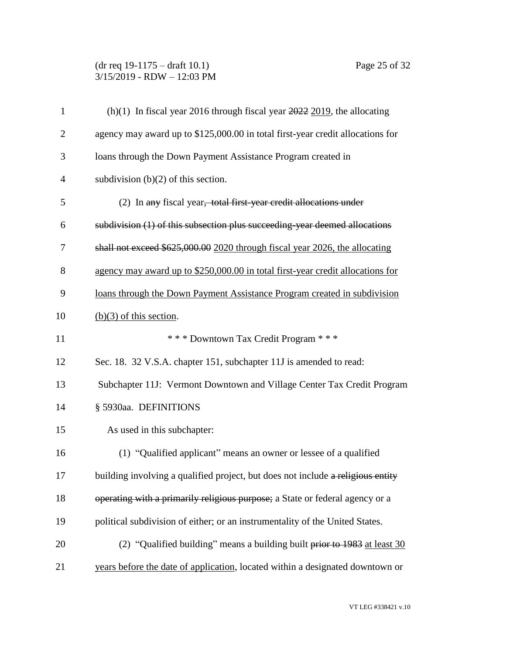## (dr req 19-1175 – draft 10.1) Page 25 of 32 3/15/2019 - RDW – 12:03 PM

| agency may award up to \$125,000.00 in total first-year credit allocations for<br>loans through the Down Payment Assistance Program created in<br>(2) In any fiscal year, total first year credit allocations under<br>subdivision (1) of this subsection plus succeeding-year deemed allocations<br>shall not exceed \$625,000.00 2020 through fiscal year 2026, the allocating<br>agency may award up to \$250,000.00 in total first-year credit allocations for<br>loans through the Down Payment Assistance Program created in subdivision<br>*** Downtown Tax Credit Program ***<br>Sec. 18. 32 V.S.A. chapter 151, subchapter 11J is amended to read: |
|-------------------------------------------------------------------------------------------------------------------------------------------------------------------------------------------------------------------------------------------------------------------------------------------------------------------------------------------------------------------------------------------------------------------------------------------------------------------------------------------------------------------------------------------------------------------------------------------------------------------------------------------------------------|
|                                                                                                                                                                                                                                                                                                                                                                                                                                                                                                                                                                                                                                                             |
|                                                                                                                                                                                                                                                                                                                                                                                                                                                                                                                                                                                                                                                             |
|                                                                                                                                                                                                                                                                                                                                                                                                                                                                                                                                                                                                                                                             |
|                                                                                                                                                                                                                                                                                                                                                                                                                                                                                                                                                                                                                                                             |
|                                                                                                                                                                                                                                                                                                                                                                                                                                                                                                                                                                                                                                                             |
|                                                                                                                                                                                                                                                                                                                                                                                                                                                                                                                                                                                                                                                             |
|                                                                                                                                                                                                                                                                                                                                                                                                                                                                                                                                                                                                                                                             |
|                                                                                                                                                                                                                                                                                                                                                                                                                                                                                                                                                                                                                                                             |
|                                                                                                                                                                                                                                                                                                                                                                                                                                                                                                                                                                                                                                                             |
|                                                                                                                                                                                                                                                                                                                                                                                                                                                                                                                                                                                                                                                             |
|                                                                                                                                                                                                                                                                                                                                                                                                                                                                                                                                                                                                                                                             |
| Subchapter 11J: Vermont Downtown and Village Center Tax Credit Program                                                                                                                                                                                                                                                                                                                                                                                                                                                                                                                                                                                      |
|                                                                                                                                                                                                                                                                                                                                                                                                                                                                                                                                                                                                                                                             |
|                                                                                                                                                                                                                                                                                                                                                                                                                                                                                                                                                                                                                                                             |
| (1) "Qualified applicant" means an owner or lessee of a qualified                                                                                                                                                                                                                                                                                                                                                                                                                                                                                                                                                                                           |
| building involving a qualified project, but does not include a religious entity                                                                                                                                                                                                                                                                                                                                                                                                                                                                                                                                                                             |
| operating with a primarily religious purpose; a State or federal agency or a                                                                                                                                                                                                                                                                                                                                                                                                                                                                                                                                                                                |
| political subdivision of either; or an instrumentality of the United States.                                                                                                                                                                                                                                                                                                                                                                                                                                                                                                                                                                                |
| (2) "Qualified building" means a building built prior to $1983$ at least 30                                                                                                                                                                                                                                                                                                                                                                                                                                                                                                                                                                                 |
|                                                                                                                                                                                                                                                                                                                                                                                                                                                                                                                                                                                                                                                             |
|                                                                                                                                                                                                                                                                                                                                                                                                                                                                                                                                                                                                                                                             |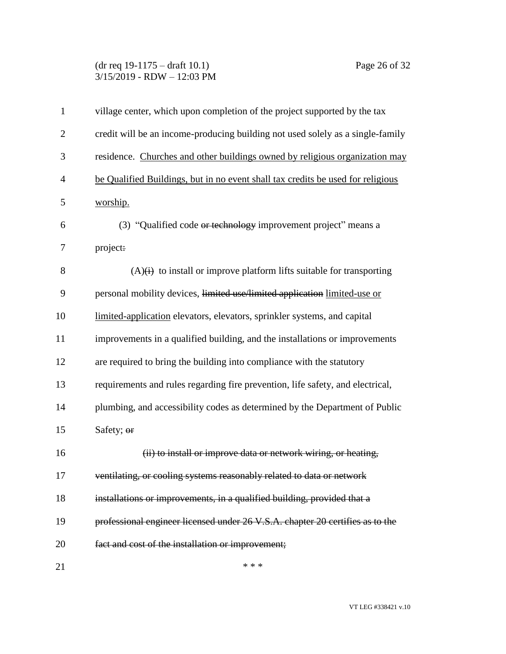### (dr req 19-1175 – draft 10.1) Page 26 of 32 3/15/2019 - RDW – 12:03 PM

| $\mathbf{1}$   | village center, which upon completion of the project supported by the tax       |
|----------------|---------------------------------------------------------------------------------|
| $\overline{2}$ | credit will be an income-producing building not used solely as a single-family  |
| 3              | residence. Churches and other buildings owned by religious organization may     |
| $\overline{4}$ | be Qualified Buildings, but in no event shall tax credits be used for religious |
| 5              | worship.                                                                        |
| 6              | (3) "Qualified code or technology improvement project" means a                  |
| 7              | project:                                                                        |
| 8              | $(A)(i)$ to install or improve platform lifts suitable for transporting         |
| 9              | personal mobility devices, limited use/limited application limited-use or       |
| 10             | limited-application elevators, elevators, sprinkler systems, and capital        |
| 11             | improvements in a qualified building, and the installations or improvements     |
| 12             | are required to bring the building into compliance with the statutory           |
| 13             | requirements and rules regarding fire prevention, life safety, and electrical,  |
| 14             | plumbing, and accessibility codes as determined by the Department of Public     |
| 15             | Safety; or                                                                      |
| 16             | (ii) to install or improve data or network wiring, or heating,                  |
| 17             | ventilating, or cooling systems reasonably related to data or network           |
| 18             | installations or improvements, in a qualified building, provided that a         |
| 19             | professional engineer licensed under 26 V.S.A. chapter 20 certifies as to the   |
| 20             | fact and cost of the installation or improvement;                               |
| 21             | * * *                                                                           |

VT LEG #338421 v.10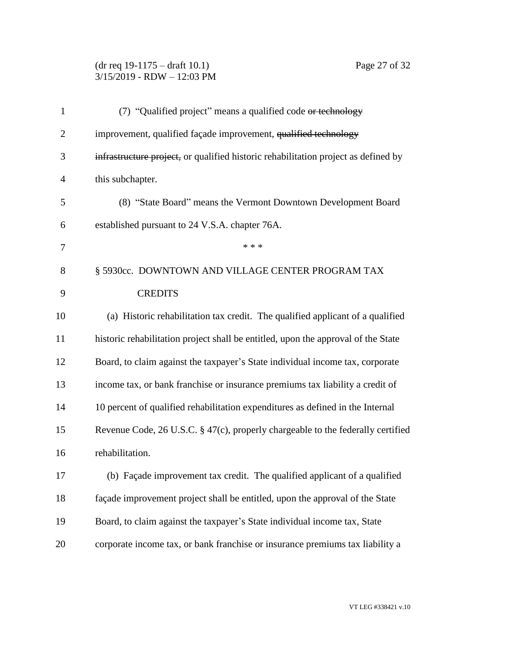## (dr req 19-1175 – draft 10.1) Page 27 of 32 3/15/2019 - RDW – 12:03 PM

| $\mathbf{1}$   | (7) "Qualified project" means a qualified code or technology                       |
|----------------|------------------------------------------------------------------------------------|
| $\overline{2}$ | improvement, qualified façade improvement, qualified technology                    |
| 3              | infrastructure project, or qualified historic rehabilitation project as defined by |
| $\overline{4}$ | this subchapter.                                                                   |
| 5              | (8) "State Board" means the Vermont Downtown Development Board                     |
| 6              | established pursuant to 24 V.S.A. chapter 76A.                                     |
| 7              | * * *                                                                              |
| 8              | § 5930cc. DOWNTOWN AND VILLAGE CENTER PROGRAM TAX                                  |
| 9              | <b>CREDITS</b>                                                                     |
| 10             | (a) Historic rehabilitation tax credit. The qualified applicant of a qualified     |
| 11             | historic rehabilitation project shall be entitled, upon the approval of the State  |
| 12             | Board, to claim against the taxpayer's State individual income tax, corporate      |
| 13             | income tax, or bank franchise or insurance premiums tax liability a credit of      |
| 14             | 10 percent of qualified rehabilitation expenditures as defined in the Internal     |
| 15             | Revenue Code, 26 U.S.C. § 47(c), properly chargeable to the federally certified    |
| 16             | rehabilitation.                                                                    |
| 17             | (b) Façade improvement tax credit. The qualified applicant of a qualified          |
| 18             | façade improvement project shall be entitled, upon the approval of the State       |
| 19             | Board, to claim against the taxpayer's State individual income tax, State          |
| 20             | corporate income tax, or bank franchise or insurance premiums tax liability a      |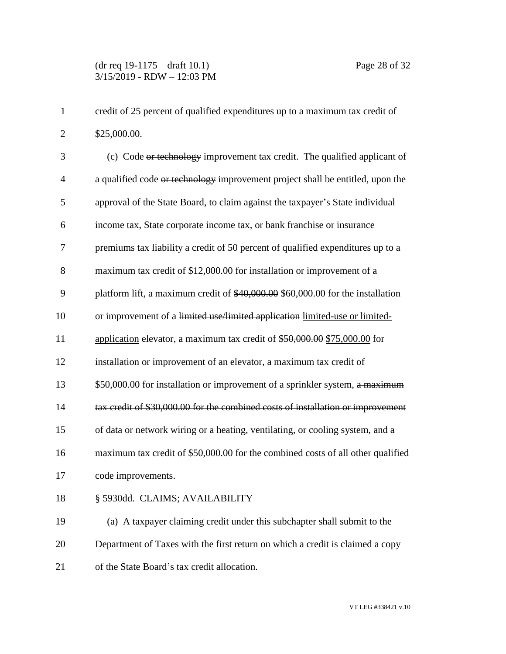| credit of 25 percent of qualified expenditures up to a maximum tax credit of |
|------------------------------------------------------------------------------|
| \$25,000.00.                                                                 |

3 (c) Code or technology improvement tax credit. The qualified applicant of 4 a qualified code or technology improvement project shall be entitled, upon the 5 approval of the State Board, to claim against the taxpayer's State individual 6 income tax, State corporate income tax, or bank franchise or insurance 7 premiums tax liability a credit of 50 percent of qualified expenditures up to a 8 maximum tax credit of \$12,000.00 for installation or improvement of a 9 platform lift, a maximum credit of \$40,000.00 \$60,000.00 for the installation 10 or improvement of a limited use/limited application limited-use or limited-11 application elevator, a maximum tax credit of \$50,000.00 \$75,000.00 for 12 installation or improvement of an elevator, a maximum tax credit of 13 \$50,000.00 for installation or improvement of a sprinkler system, a maximum 14 tax credit of \$30,000.00 for the combined costs of installation or improvement 15 of data or network wiring or a heating, ventilating, or cooling system, and a 16 maximum tax credit of \$50,000.00 for the combined costs of all other qualified 17 code improvements.

## 18 § 5930dd. CLAIMS; AVAILABILITY

19 (a) A taxpayer claiming credit under this subchapter shall submit to the 20 Department of Taxes with the first return on which a credit is claimed a copy 21 of the State Board's tax credit allocation.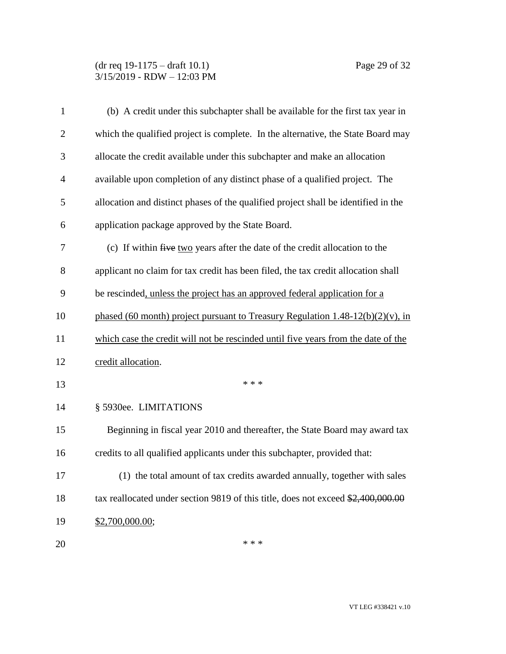| $\mathbf{1}$   | (b) A credit under this subchapter shall be available for the first tax year in    |
|----------------|------------------------------------------------------------------------------------|
| $\overline{2}$ | which the qualified project is complete. In the alternative, the State Board may   |
| 3              | allocate the credit available under this subchapter and make an allocation         |
| $\overline{4}$ | available upon completion of any distinct phase of a qualified project. The        |
| 5              | allocation and distinct phases of the qualified project shall be identified in the |
| 6              | application package approved by the State Board.                                   |
| 7              | (c) If within five two years after the date of the credit allocation to the        |
| 8              | applicant no claim for tax credit has been filed, the tax credit allocation shall  |
| 9              | be rescinded, unless the project has an approved federal application for a         |
| 10             | phased (60 month) project pursuant to Treasury Regulation $1.48-12(b)(2)(v)$ , in  |
| 11             | which case the credit will not be rescinded until five years from the date of the  |
| 12             | credit allocation.                                                                 |
| 13             | * * *                                                                              |
| 14             | § 5930ee. LIMITATIONS                                                              |
| 15             | Beginning in fiscal year 2010 and thereafter, the State Board may award tax        |
| 16             | credits to all qualified applicants under this subchapter, provided that:          |
| 17             | (1) the total amount of tax credits awarded annually, together with sales          |
| 18             | tax reallocated under section 9819 of this title, does not exceed \$2,400,000.00   |
| 19             | \$2,700,000.00;                                                                    |
| 20             | * * *                                                                              |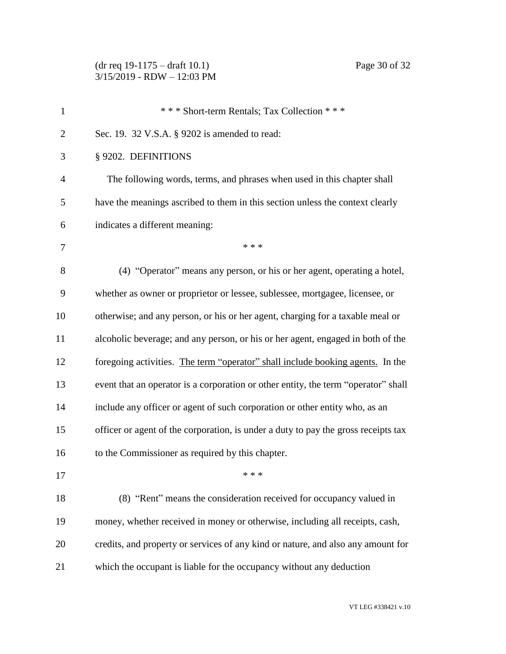| $\mathbf{1}$   | *** Short-term Rentals; Tax Collection ***                                         |
|----------------|------------------------------------------------------------------------------------|
| $\overline{2}$ | Sec. 19. 32 V.S.A. § 9202 is amended to read:                                      |
| 3              | § 9202. DEFINITIONS                                                                |
| $\overline{4}$ | The following words, terms, and phrases when used in this chapter shall            |
| 5              | have the meanings ascribed to them in this section unless the context clearly      |
| 6              | indicates a different meaning:                                                     |
| 7              | * * *                                                                              |
| 8              | (4) "Operator" means any person, or his or her agent, operating a hotel,           |
| 9              | whether as owner or proprietor or lessee, sublessee, mortgagee, licensee, or       |
| 10             | otherwise; and any person, or his or her agent, charging for a taxable meal or     |
| 11             | alcoholic beverage; and any person, or his or her agent, engaged in both of the    |
| 12             | foregoing activities. The term "operator" shall include booking agents. In the     |
| 13             | event that an operator is a corporation or other entity, the term "operator" shall |
| 14             | include any officer or agent of such corporation or other entity who, as an        |
| 15             | officer or agent of the corporation, is under a duty to pay the gross receipts tax |
| 16             | to the Commissioner as required by this chapter.                                   |
| 17             | * * *                                                                              |
| 18             | (8) "Rent" means the consideration received for occupancy valued in                |
| 19             | money, whether received in money or otherwise, including all receipts, cash,       |
| 20             | credits, and property or services of any kind or nature, and also any amount for   |
| 21             | which the occupant is liable for the occupancy without any deduction               |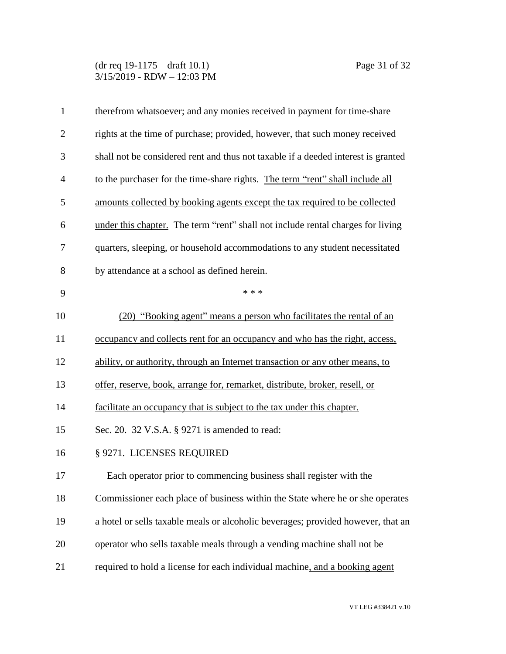| $\mathbf{1}$   | therefrom whatsoever; and any monies received in payment for time-share           |
|----------------|-----------------------------------------------------------------------------------|
| $\overline{2}$ | rights at the time of purchase; provided, however, that such money received       |
| 3              | shall not be considered rent and thus not taxable if a deeded interest is granted |
| $\overline{4}$ | to the purchaser for the time-share rights. The term "rent" shall include all     |
| 5              | amounts collected by booking agents except the tax required to be collected       |
| 6              | under this chapter. The term "rent" shall not include rental charges for living   |
| 7              | quarters, sleeping, or household accommodations to any student necessitated       |
| 8              | by attendance at a school as defined herein.                                      |
| 9              | * * *                                                                             |
| 10             | (20) "Booking agent" means a person who facilitates the rental of an              |
| 11             | occupancy and collects rent for an occupancy and who has the right, access,       |
| 12             | ability, or authority, through an Internet transaction or any other means, to     |
| 13             | offer, reserve, book, arrange for, remarket, distribute, broker, resell, or       |
| 14             | facilitate an occupancy that is subject to the tax under this chapter.            |
| 15             | Sec. 20. 32 V.S.A. § 9271 is amended to read:                                     |
| 16             | § 9271. LICENSES REQUIRED                                                         |
| 17             | Each operator prior to commencing business shall register with the                |
| 18             | Commissioner each place of business within the State where he or she operates     |
| 19             | a hotel or sells taxable meals or alcoholic beverages; provided however, that an  |
| 20             | operator who sells taxable meals through a vending machine shall not be           |
| 21             | required to hold a license for each individual machine, and a booking agent       |